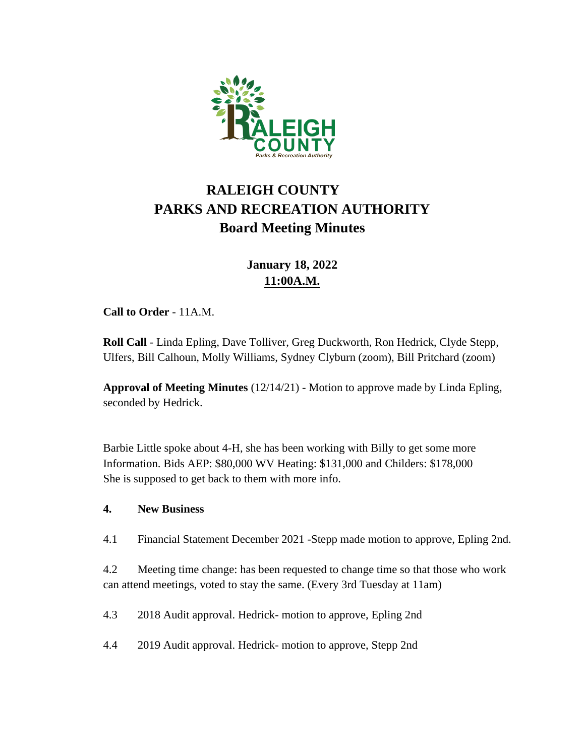

# **RALEIGH COUNTY PARKS AND RECREATION AUTHORITY Board Meeting Minutes**

# **January 18, 2022 11:00A.M.**

**Call to Order** - 11A.M.

**Roll Call** - Linda Epling, Dave Tolliver, Greg Duckworth, Ron Hedrick, Clyde Stepp, Ulfers, Bill Calhoun, Molly Williams, Sydney Clyburn (zoom), Bill Pritchard (zoom)

**Approval of Meeting Minutes** (12/14/21) - Motion to approve made by Linda Epling, seconded by Hedrick.

Barbie Little spoke about 4-H, she has been working with Billy to get some more Information. Bids AEP: \$80,000 WV Heating: \$131,000 and Childers: \$178,000 She is supposed to get back to them with more info.

## **4. New Business**

4.1 Financial Statement December 2021 -Stepp made motion to approve, Epling 2nd.

4.2 Meeting time change: has been requested to change time so that those who work can attend meetings, voted to stay the same. (Every 3rd Tuesday at 11am)

4.3 2018 Audit approval. Hedrick- motion to approve, Epling 2nd

4.4 2019 Audit approval. Hedrick- motion to approve, Stepp 2nd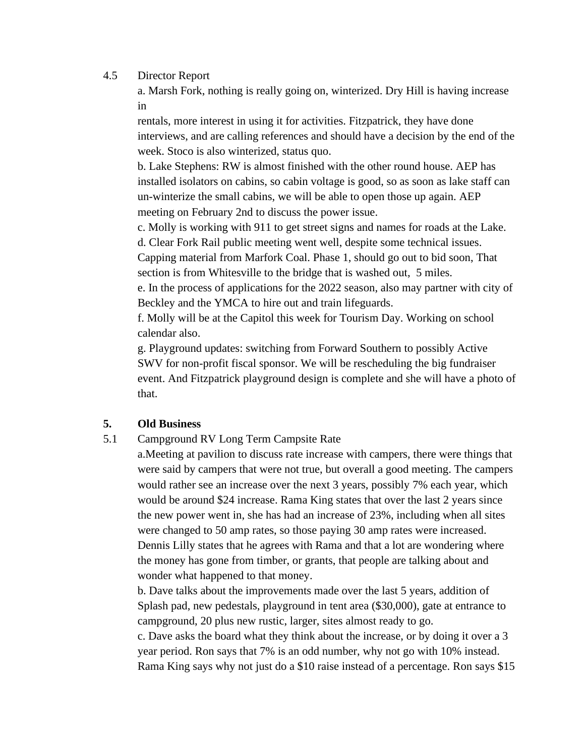#### 4.5 Director Report

a. Marsh Fork, nothing is really going on, winterized. Dry Hill is having increase in

rentals, more interest in using it for activities. Fitzpatrick, they have done interviews, and are calling references and should have a decision by the end of the week. Stoco is also winterized, status quo.

b. Lake Stephens: RW is almost finished with the other round house. AEP has installed isolators on cabins, so cabin voltage is good, so as soon as lake staff can un-winterize the small cabins, we will be able to open those up again. AEP meeting on February 2nd to discuss the power issue.

c. Molly is working with 911 to get street signs and names for roads at the Lake.

d. Clear Fork Rail public meeting went well, despite some technical issues.

Capping material from Marfork Coal. Phase 1, should go out to bid soon, That section is from Whitesville to the bridge that is washed out, 5 miles.

e. In the process of applications for the 2022 season, also may partner with city of Beckley and the YMCA to hire out and train lifeguards.

f. Molly will be at the Capitol this week for Tourism Day. Working on school calendar also.

g. Playground updates: switching from Forward Southern to possibly Active SWV for non-profit fiscal sponsor. We will be rescheduling the big fundraiser event. And Fitzpatrick playground design is complete and she will have a photo of that.

## **5. Old Business**

#### 5.1 Campground RV Long Term Campsite Rate

a.Meeting at pavilion to discuss rate increase with campers, there were things that were said by campers that were not true, but overall a good meeting. The campers would rather see an increase over the next 3 years, possibly 7% each year, which would be around \$24 increase. Rama King states that over the last 2 years since the new power went in, she has had an increase of 23%, including when all sites were changed to 50 amp rates, so those paying 30 amp rates were increased. Dennis Lilly states that he agrees with Rama and that a lot are wondering where the money has gone from timber, or grants, that people are talking about and wonder what happened to that money.

b. Dave talks about the improvements made over the last 5 years, addition of Splash pad, new pedestals, playground in tent area (\$30,000), gate at entrance to campground, 20 plus new rustic, larger, sites almost ready to go.

c. Dave asks the board what they think about the increase, or by doing it over a 3 year period. Ron says that 7% is an odd number, why not go with 10% instead. Rama King says why not just do a \$10 raise instead of a percentage. Ron says \$15